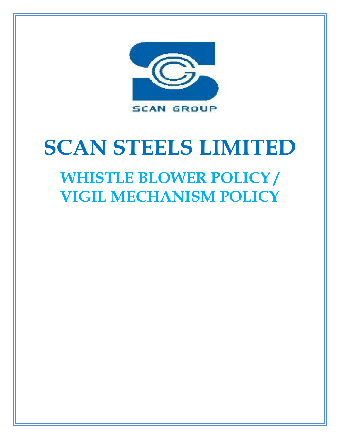

# **SCAN STEELS LIMITED WHISTLE BLOWER POLICY /**

**VIGIL MECHANISM POLICY**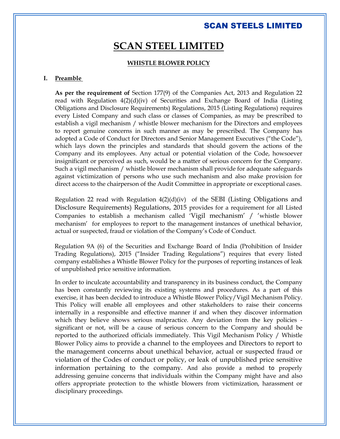## **SCAN STEEL LIMITED**

#### **WHISTLE BLOWER POLICY**

### **I. Preamble**

**As per the requirement of** Section 177(9) of the Companies Act, 2013 and Regulation 22 read with Regulation 4(2)(d)(iv) of Securities and Exchange Board of India (Listing Obligations and Disclosure Requirements) Regulations, 2015 (Listing Regulations) requires every Listed Company and such class or classes of Companies, as may be prescribed to establish a vigil mechanism / whistle blower mechanism for the Directors and employees to report genuine concerns in such manner as may be prescribed. The Company has adopted a Code of Conduct for Directors and Senior Management Executives ("the Code"), which lays down the principles and standards that should govern the actions of the Company and its employees. Any actual or potential violation of the Code, howsoever insignificant or perceived as such, would be a matter of serious concern for the Company. Such a vigil mechanism / whistle blower mechanism shall provide for adequate safeguards against victimization of persons who use such mechanism and also make provision for direct access to the chairperson of the Audit Committee in appropriate or exceptional cases.

Regulation 22 read with Regulation  $4(2)(d)(iv)$  of the SEBI (Listing Obligations and Disclosure Requirements) Regulations, 2015 provides for a requirement for all Listed Companies to establish a mechanism called 'Vigil mechanism' / 'whistle blower mechanism' for employees to report to the management instances of unethical behavior, actual or suspected, fraud or violation of the Company's Code of Conduct.

Regulation 9A (6) of the Securities and Exchange Board of India (Prohibition of Insider Trading Regulations), 2015 ("Insider Trading Regulations") requires that every listed company establishes a Whistle Blower Policy for the purposes of reporting instances of leak of unpublished price sensitive information.

In order to inculcate accountability and transparency in its business conduct, the Company has been constantly reviewing its existing systems and procedures. As a part of this exercise, it has been decided to introduce a Whistle Blower Policy/Vigil Mechanism Policy. This Policy will enable all employees and other stakeholders to raise their concerns internally in a responsible and effective manner if and when they discover information which they believe shows serious malpractice. Any deviation from the key policies significant or not, will be a cause of serious concern to the Company and should be reported to the authorized officials immediately. This Vigil Mechanism Policy / Whistle Blower Policy aims to provide a channel to the employees and Directors to report to the management concerns about unethical behavior, actual or suspected fraud or violation of the Codes of conduct or policy, or leak of unpublished price sensitive information pertaining to the company. And also provide a method to properly addressing genuine concerns that individuals within the Company might have and also offers appropriate protection to the whistle blowers from victimization, harassment or disciplinary proceedings.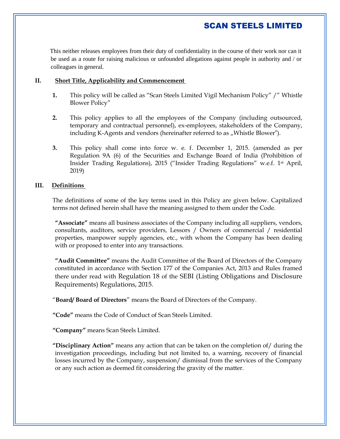This neither releases employees from their duty of confidentiality in the course of their work nor can it be used as a route for raising malicious or unfounded allegations against people in authority and / or colleagues in general.

## **II. Short Title, Applicability and Commencement**

- **1.** This policy will be called as "Scan Steels Limited Vigil Mechanism Policy" /" Whistle Blower Policy"
- **2.** This policy applies to all the employees of the Company (including outsourced, temporary and contractual personnel), ex-employees, stakeholders of the Company, including K-Agents and vendors (hereinafter referred to as "Whistle Blower").
- **3.** This policy shall come into force w. e. f. December 1, 2015. (amended as per Regulation 9A (6) of the Securities and Exchange Board of India (Prohibition of Insider Trading Regulations), 2015 ("Insider Trading Regulations" w.e.f. 1st April, 2019)

## **III. Definitions**

The definitions of some of the key terms used in this Policy are given below. Capitalized terms not defined herein shall have the meaning assigned to them under the Code.

**"Associate"** means all business associates of the Company including all suppliers, vendors, consultants, auditors, service providers, Lessors / Owners of commercial / residential properties, manpower supply agencies, etc., with whom the Company has been dealing with or proposed to enter into any transactions.

**"Audit Committee"** means the Audit Committee of the Board of Directors of the Company constituted in accordance with Section 177 of the Companies Act, 2013 and Rules framed there under read with Regulation 18 of the SEBI (Listing Obligations and Disclosure Requirements) Regulations, 2015.

"**Board/ Board of Directors**" means the Board of Directors of the Company.

**"Code"** means the Code of Conduct of Scan Steels Limited.

**"Company"** means Scan Steels Limited.

**"Disciplinary Action"** means any action that can be taken on the completion of/ during the investigation proceedings, including but not limited to, a warning, recovery of financial losses incurred by the Company, suspension/ dismissal from the services of the Company or any such action as deemed fit considering the gravity of the matter.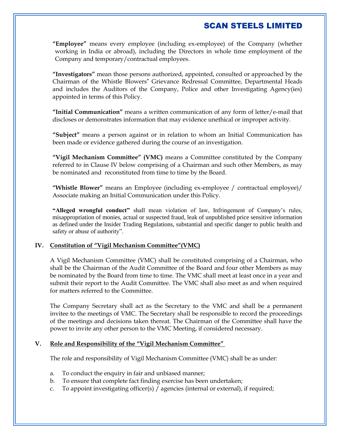**"Employee"** means every employee (including ex-employee) of the Company (whether working in India or abroad), including the Directors in whole time employment of the Company and temporary/contractual employees.

**"Investigators"** mean those persons authorized, appointed, consulted or approached by the Chairman of the Whistle Blowers" Grievance Redressal Committee, Departmental Heads and includes the Auditors of the Company, Police and other Investigating Agency(ies) appointed in terms of this Policy.

**"Initial Communication"** means a written communication of any form of letter/e-mail that discloses or demonstrates information that may evidence unethical or improper activity.

**"Subject"** means a person against or in relation to whom an Initial Communication has been made or evidence gathered during the course of an investigation.

**"Vigil Mechanism Committee" (VMC)** means a Committee constituted by the Company referred to in Clause IV below comprising of a Chairman and such other Members, as may be nominated and reconstituted from time to time by the Board.

**"Whistle Blower"** means an Employee (including ex-employee / contractual employee)/ Associate making an Initial Communication under this Policy.

**"Alleged wrongful conduct"** shall mean violation of law, Infringement of Company's rules, misappropriation of monies, actual or suspected fraud, leak of unpublished price sensitive information as defined under the Insider Trading Regulations, substantial and specific danger to public health and safety or abuse of authority".

## **IV. Constitution of "Vigil Mechanism Committee"(VMC)**

A Vigil Mechanism Committee (VMC) shall be constituted comprising of a Chairman, who shall be the Chairman of the Audit Committee of the Board and four other Members as may be nominated by the Board from time to time. The VMC shall meet at least once in a year and submit their report to the Audit Committee. The VMC shall also meet as and when required for matters referred to the Committee.

The Company Secretary shall act as the Secretary to the VMC and shall be a permanent invitee to the meetings of VMC. The Secretary shall be responsible to record the proceedings of the meetings and decisions taken thereat. The Chairman of the Committee shall have the power to invite any other person to the VMC Meeting, if considered necessary.

#### **V. Role and Responsibility of the "Vigil Mechanism Committee"**

The role and responsibility of Vigil Mechanism Committee (VMC) shall be as under:

- a. To conduct the enquiry in fair and unbiased manner;
- b. To ensure that complete fact finding exercise has been undertaken;
- c. To appoint investigating officer(s) / agencies (internal or external), if required;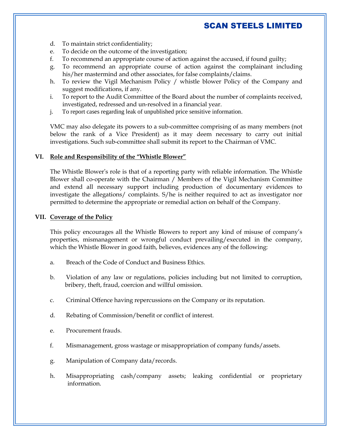- d. To maintain strict confidentiality;
- e. To decide on the outcome of the investigation;
- f. To recommend an appropriate course of action against the accused, if found guilty;
- g. To recommend an appropriate course of action against the complainant including his/her mastermind and other associates, for false complaints/claims.
- h. To review the Vigil Mechanism Policy / whistle blower Policy of the Company and suggest modifications, if any.
- i. To report to the Audit Committee of the Board about the number of complaints received, investigated, redressed and un-resolved in a financial year.
- j. To report cases regarding leak of unpublished price sensitive information.

VMC may also delegate its powers to a sub-committee comprising of as many members (not below the rank of a Vice President) as it may deem necessary to carry out initial investigations. Such sub-committee shall submit its report to the Chairman of VMC.

#### **VI. Role and Responsibility of the "Whistle Blower"**

The Whistle Blower's role is that of a reporting party with reliable information. The Whistle Blower shall co-operate with the Chairman / Members of the Vigil Mechanism Committee and extend all necessary support including production of documentary evidences to investigate the allegations/ complaints. S/he is neither required to act as investigator nor permitted to determine the appropriate or remedial action on behalf of the Company.

## **VII. Coverage of the Policy**

This policy encourages all the Whistle Blowers to report any kind of misuse of company's properties, mismanagement or wrongful conduct prevailing/executed in the company, which the Whistle Blower in good faith, believes, evidences any of the following:

- a. Breach of the Code of Conduct and Business Ethics.
- b. Violation of any law or regulations, policies including but not limited to corruption, bribery, theft, fraud, coercion and willful omission.
- c. Criminal Offence having repercussions on the Company or its reputation.
- d. Rebating of Commission/benefit or conflict of interest.
- e. Procurement frauds.
- f. Mismanagement, gross wastage or misappropriation of company funds/assets.
- g. Manipulation of Company data/records.
- h. Misappropriating cash/company assets; leaking confidential or proprietary information.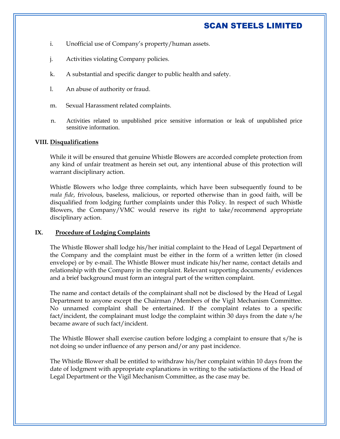- i. Unofficial use of Company's property/human assets.
- j. Activities violating Company policies.
- k. A substantial and specific danger to public health and safety.
- l. An abuse of authority or fraud.
- m. Sexual Harassment related complaints.
- n. Activities related to unpublished price sensitive information or leak of unpublished price sensitive information.

## **VIII. Disqualifications**

While it will be ensured that genuine Whistle Blowers are accorded complete protection from any kind of unfair treatment as herein set out, any intentional abuse of this protection will warrant disciplinary action.

Whistle Blowers who lodge three complaints, which have been subsequently found to be *mala fide*, frivolous, baseless, malicious, or reported otherwise than in good faith, will be disqualified from lodging further complaints under this Policy. In respect of such Whistle Blowers, the Company/VMC would reserve its right to take/recommend appropriate disciplinary action.

## **IX. Procedure of Lodging Complaints**

The Whistle Blower shall lodge his/her initial complaint to the Head of Legal Department of the Company and the complaint must be either in the form of a written letter (in closed envelope) or by e-mail. The Whistle Blower must indicate his/her name, contact details and relationship with the Company in the complaint. Relevant supporting documents/ evidences and a brief background must form an integral part of the written complaint.

The name and contact details of the complainant shall not be disclosed by the Head of Legal Department to anyone except the Chairman /Members of the Vigil Mechanism Committee. No unnamed complaint shall be entertained. If the complaint relates to a specific fact/incident, the complainant must lodge the complaint within 30 days from the date s/he became aware of such fact/incident.

The Whistle Blower shall exercise caution before lodging a complaint to ensure that s/he is not doing so under influence of any person and/or any past incidence.

The Whistle Blower shall be entitled to withdraw his/her complaint within 10 days from the date of lodgment with appropriate explanations in writing to the satisfactions of the Head of Legal Department or the Vigil Mechanism Committee, as the case may be.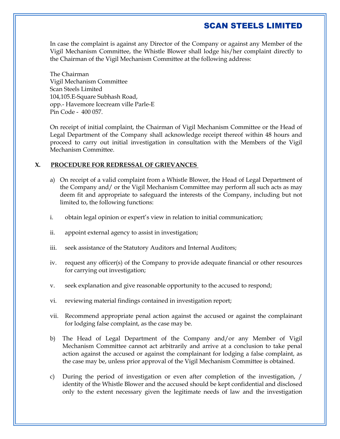In case the complaint is against any Director of the Company or against any Member of the Vigil Mechanism Committee, the Whistle Blower shall lodge his/her complaint directly to the Chairman of the Vigil Mechanism Committee at the following address:

The Chairman Vigil Mechanism Committee Scan Steels Limited 104,105.E-Square Subhash Road, opp.- Havemore Icecream ville Parle-E Pin Code - 400 057.

On receipt of initial complaint, the Chairman of Vigil Mechanism Committee or the Head of Legal Department of the Company shall acknowledge receipt thereof within 48 hours and proceed to carry out initial investigation in consultation with the Members of the Vigil Mechanism Committee.

## **X. PROCEDURE FOR REDRESSAL OF GRIEVANCES**

- a) On receipt of a valid complaint from a Whistle Blower, the Head of Legal Department of the Company and/ or the Vigil Mechanism Committee may perform all such acts as may deem fit and appropriate to safeguard the interests of the Company, including but not limited to, the following functions:
- i. obtain legal opinion or expert's view in relation to initial communication;
- ii. appoint external agency to assist in investigation;
- iii. seek assistance of the Statutory Auditors and Internal Auditors;
- iv. request any officer(s) of the Company to provide adequate financial or other resources for carrying out investigation;
- v. seek explanation and give reasonable opportunity to the accused to respond;
- vi. reviewing material findings contained in investigation report;
- vii. Recommend appropriate penal action against the accused or against the complainant for lodging false complaint, as the case may be.
- b) The Head of Legal Department of the Company and/or any Member of Vigil Mechanism Committee cannot act arbitrarily and arrive at a conclusion to take penal action against the accused or against the complainant for lodging a false complaint, as the case may be, unless prior approval of the Vigil Mechanism Committee is obtained.
- c) During the period of investigation or even after completion of the investigation, / identity of the Whistle Blower and the accused should be kept confidential and disclosed only to the extent necessary given the legitimate needs of law and the investigation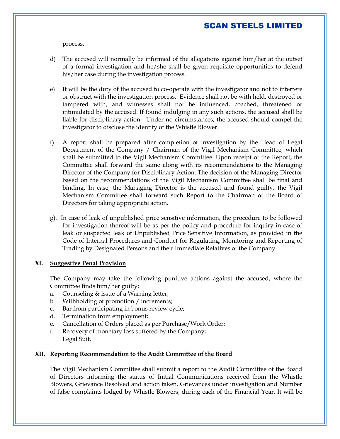process.

- d) The accused will normally be informed of the allegations against him/her at the outset of a formal investigation and he/she shall be given requisite opportunities to defend his/her case during the investigation process.
- e) It will be the duty of the accused to co-operate with the investigator and not to interfere or obstruct with the investigation process. Evidence shall not be with held, destroyed or tampered with, and witnesses shall not be influenced, coached, threatened or intimidated by the accused. If found indulging in any such actions, the accused shall be liable for disciplinary action. Under no circumstances, the accused should compel the investigator to disclose the identity of the Whistle Blower.
- f). A report shall be prepared after completion of investigation by the Head of Legal Department of the Company / Chairman of the Vigil Mechanism Committee, which shall be submitted to the Vigil Mechanism Committee. Upon receipt of the Report, the Committee shall forward the same along with its recommendations to the Managing Director of the Company for Disciplinary Action. The decision of the Managing Director based on the recommendations of the Vigil Mechanism Committee shall be final and binding. In case, the Managing Director is the accused and found guilty, the Vigil Mechanism Committee shall forward such Report to the Chairman of the Board of Directors for taking appropriate action.
- g). In case of leak of unpublished price sensitive information, the procedure to be followed for investigation thereof will be as per the policy and procedure for inquiry in case of leak or suspected leak of Unpublished Price Sensitive Information, as provided in the Code of Internal Procedures and Conduct for Regulating, Monitoring and Reporting of Trading by Designated Persons and their Immediate Relatives of the Company.

#### **XI. Suggestive Penal Provision**

The Company may take the following punitive actions against the accused, where the Committee finds him/her guilty:

- a. Counseling & issue of a Warning letter;
- b. Withholding of promotion / increments;
- c. Bar from participating in bonus review cycle;
- d. Termination from employment;
- e. Cancellation of Orders placed as per Purchase/Work Order;
- f. Recovery of monetary loss suffered by the Company; Legal Suit.

#### **XII. Reporting Recommendation to the Audit Committee of the Board**

The Vigil Mechanism Committee shall submit a report to the Audit Committee of the Board of Directors informing the status of Initial Communications received from the Whistle Blowers, Grievance Resolved and action taken, Grievances under investigation and Number of false complaints lodged by Whistle Blowers, during each of the Financial Year. It will be